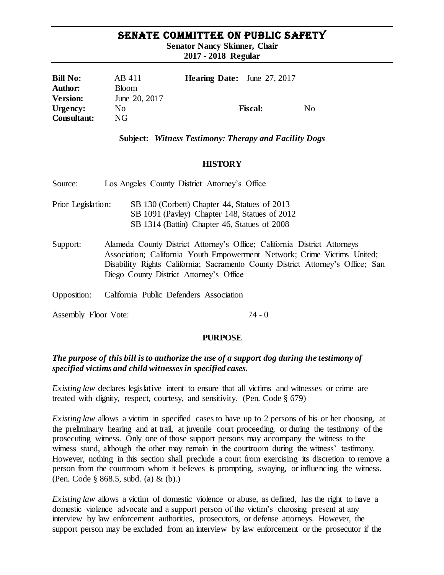# SENATE COMMITTEE ON PUBLIC SAFETY

**Senator Nancy Skinner, Chair**

**2017 - 2018 Regular** 

| <b>Bill No:</b>    | AB 411        | <b>Hearing Date:</b> June 27, 2017 |                |     |
|--------------------|---------------|------------------------------------|----------------|-----|
| <b>Author:</b>     | <b>Bloom</b>  |                                    |                |     |
| <b>Version:</b>    | June 20, 2017 |                                    |                |     |
| Urgency:           | No.           |                                    | <b>Fiscal:</b> | No. |
| <b>Consultant:</b> | NG            |                                    |                |     |

#### **Subject:** *Witness Testimony: Therapy and Facility Dogs*

#### **HISTORY**

| Source:              | Los Angeles County District Attorney's Office                                                                                                                                                                                                                                      |
|----------------------|------------------------------------------------------------------------------------------------------------------------------------------------------------------------------------------------------------------------------------------------------------------------------------|
| Prior Legislation:   | SB 130 (Corbett) Chapter 44, Statues of 2013<br>SB 1091 (Pavley) Chapter 148, Statues of 2012<br>SB 1314 (Battin) Chapter 46, Statues of 2008                                                                                                                                      |
| Support:             | Alameda County District Attorney's Office; California District Attorneys<br>Association; California Youth Empowerment Network; Crime Victims United;<br>Disability Rights California; Sacramento County District Attorney's Office; San<br>Diego County District Attorney's Office |
| Opposition:          | California Public Defenders Association                                                                                                                                                                                                                                            |
| Assembly Floor Vote: | 74 - Q                                                                                                                                                                                                                                                                             |

#### **PURPOSE**

## *The purpose of this bill is to authorize the use of a support dog during the testimony of specified victims and child witnesses in specified cases.*

*Existing law* declares legislative intent to ensure that all victims and witnesses or crime are treated with dignity, respect, courtesy, and sensitivity. (Pen. Code § 679)

*Existing law* allows a victim in specified cases to have up to 2 persons of his or her choosing, at the preliminary hearing and at trail, at juvenile court proceeding, or during the testimony of the prosecuting witness. Only one of those support persons may accompany the witness to the witness stand, although the other may remain in the courtroom during the witness' testimony. However, nothing in this section shall preclude a court from exercising its discretion to remove a person from the courtroom whom it believes is prompting, swaying, or influencing the witness. (Pen. Code § 868.5, subd. (a) & (b).)

*Existing law* allows a victim of domestic violence or abuse, as defined, has the right to have a domestic violence advocate and a support person of the victim's choosing present at any interview by law enforcement authorities, prosecutors, or defense attorneys. However, the support person may be excluded from an interview by law enforcement or the prosecutor if the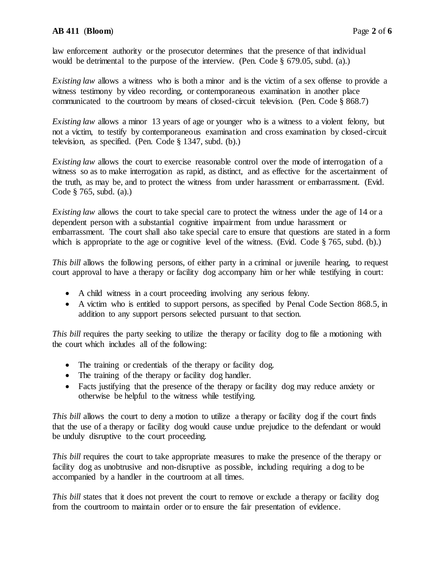law enforcement authority or the prosecutor determines that the presence of that individual would be detrimental to the purpose of the interview. (Pen. Code § 679.05, subd. (a).)

*Existing law* allows a witness who is both a minor and is the victim of a sex offense to provide a witness testimony by video recording, or contemporaneous examination in another place communicated to the courtroom by means of closed-circuit television. (Pen. Code § 868.7)

*Existing law* allows a minor 13 years of age or younger who is a witness to a violent felony, but not a victim, to testify by contemporaneous examination and cross examination by closed-circuit television, as specified. (Pen. Code § 1347, subd. (b).)

*Existing law* allows the court to exercise reasonable control over the mode of interrogation of a witness so as to make interrogation as rapid, as distinct, and as effective for the ascertainment of the truth, as may be, and to protect the witness from under harassment or embarrassment. (Evid. Code § 765, subd. (a).)

*Existing law* allows the court to take special care to protect the witness under the age of 14 or a dependent person with a substantial cognitive impairment from undue harassment or embarrassment. The court shall also take special care to ensure that questions are stated in a form which is appropriate to the age or cognitive level of the witness. (Evid. Code § 765, subd. (b).)

*This bill* allows the following persons, of either party in a criminal or juvenile hearing, to request court approval to have a therapy or facility dog accompany him or her while testifying in court:

- A child witness in a court proceeding involving any serious felony.
- A victim who is entitled to support persons, as specified by Penal Code Section 868.5, in addition to any support persons selected pursuant to that section.

*This bill* requires the party seeking to utilize the therapy or facility dog to file a motioning with the court which includes all of the following:

- The training or credentials of the therapy or facility dog.
- The training of the therapy or facility dog handler.
- Facts justifying that the presence of the therapy or facility dog may reduce anxiety or otherwise be helpful to the witness while testifying.

*This bill* allows the court to deny a motion to utilize a therapy or facility dog if the court finds that the use of a therapy or facility dog would cause undue prejudice to the defendant or would be unduly disruptive to the court proceeding.

*This bill* requires the court to take appropriate measures to make the presence of the therapy or facility dog as unobtrusive and non-disruptive as possible, including requiring a dog to be accompanied by a handler in the courtroom at all times.

*This bill* states that it does not prevent the court to remove or exclude a therapy or facility dog from the courtroom to maintain order or to ensure the fair presentation of evidence.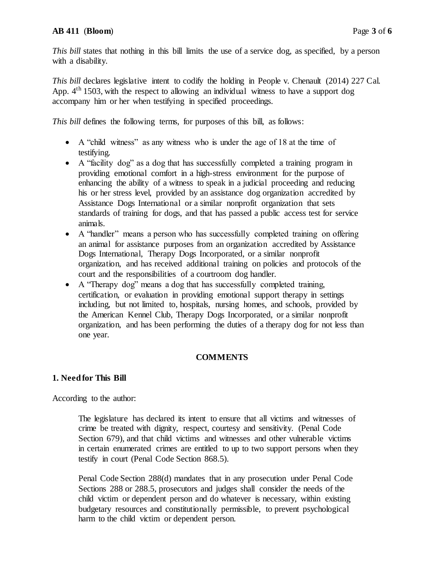*This bill states that nothing in this bill limits the use of a service dog, as specified, by a person* with a disability.

*This bill* declares legislative intent to codify the holding in People v. Chenault (2014) 227 Cal. App.  $4<sup>th</sup> 1503$ , with the respect to allowing an individual witness to have a support dog accompany him or her when testifying in specified proceedings.

*This bill defines the following terms, for purposes of this bill, as follows:* 

- A "child witness" as any witness who is under the age of 18 at the time of testifying.
- A "facility dog" as a dog that has successfully completed a training program in providing emotional comfort in a high-stress environment for the purpose of enhancing the ability of a witness to speak in a judicial proceeding and reducing his or her stress level, provided by an assistance dog organization accredited by Assistance Dogs International or a similar nonprofit organization that sets standards of training for dogs, and that has passed a public access test for service animals.
- A "handler" means a person who has successfully completed training on offering an animal for assistance purposes from an organization accredited by Assistance Dogs International, Therapy Dogs Incorporated, or a similar nonprofit organization, and has received additional training on policies and protocols of the court and the responsibilities of a courtroom dog handler.
- A "Therapy dog" means a dog that has successfully completed training, certification, or evaluation in providing emotional support therapy in settings including, but not limited to, hospitals, nursing homes, and schools, provided by the American Kennel Club, Therapy Dogs Incorporated, or a similar nonprofit organization, and has been performing the duties of a therapy dog for not less than one year.

## **COMMENTS**

#### **1. Need for This Bill**

According to the author:

The legislature has declared its intent to ensure that all victims and witnesses of crime be treated with dignity, respect, courtesy and sensitivity. (Penal Code Section 679), and that child victims and witnesses and other vulnerable victims in certain enumerated crimes are entitled to up to two support persons when they testify in court (Penal Code Section 868.5).

Penal Code Section 288(d) mandates that in any prosecution under Penal Code Sections 288 or 288.5, prosecutors and judges shall consider the needs of the child victim or dependent person and do whatever is necessary, within existing budgetary resources and constitutionally permissible, to prevent psychological harm to the child victim or dependent person.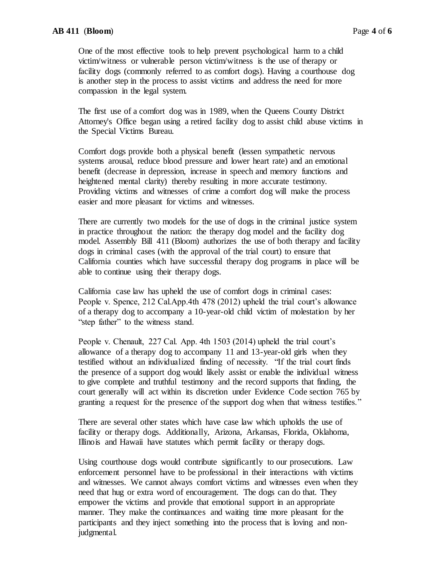One of the most effective tools to help prevent psychological harm to a child victim/witness or vulnerable person victim/witness is the use of therapy or facility dogs (commonly referred to as comfort dogs). Having a courthouse dog is another step in the process to assist victims and address the need for more compassion in the legal system.

The first use of a comfort dog was in 1989, when the Queens County District Attorney's Office began using a retired facility dog to assist child abuse victims in the Special Victims Bureau.

Comfort dogs provide both a physical benefit (lessen sympathetic nervous systems arousal, reduce blood pressure and lower heart rate) and an emotional benefit (decrease in depression, increase in speech and memory functions and heightened mental clarity) thereby resulting in more accurate testimony. Providing victims and witnesses of crime a comfort dog will make the process easier and more pleasant for victims and witnesses.

There are currently two models for the use of dogs in the criminal justice system in practice throughout the nation: the therapy dog model and the facility dog model. Assembly Bill 411 (Bloom) authorizes the use of both therapy and facility dogs in criminal cases (with the approval of the trial court) to ensure that California counties which have successful therapy dog programs in place will be able to continue using their therapy dogs.

California case law has upheld the use of comfort dogs in criminal cases: People v. Spence, 212 Cal.App.4th 478 (2012) upheld the trial court's allowance of a therapy dog to accompany a 10-year-old child victim of molestation by her "step father" to the witness stand.

People v. Chenault, 227 Cal. App. 4th 1503 (2014) upheld the trial court's allowance of a therapy dog to accompany 11 and 13-year-old girls when they testified without an individualized finding of necessity. "If the trial court finds the presence of a support dog would likely assist or enable the individual witness to give complete and truthful testimony and the record supports that finding, the court generally will act within its discretion under Evidence Code section 765 by granting a request for the presence of the support dog when that witness testifies."

There are several other states which have case law which upholds the use of facility or therapy dogs. Additionally, Arizona, Arkansas, Florida, Oklahoma, Illinois and Hawaii have statutes which permit facility or therapy dogs.

Using courthouse dogs would contribute significantly to our prosecutions. Law enforcement personnel have to be professional in their interactions with victims and witnesses. We cannot always comfort victims and witnesses even when they need that hug or extra word of encouragement. The dogs can do that. They empower the victims and provide that emotional support in an appropriate manner. They make the continuances and waiting time more pleasant for the participants and they inject something into the process that is loving and nonjudgmental.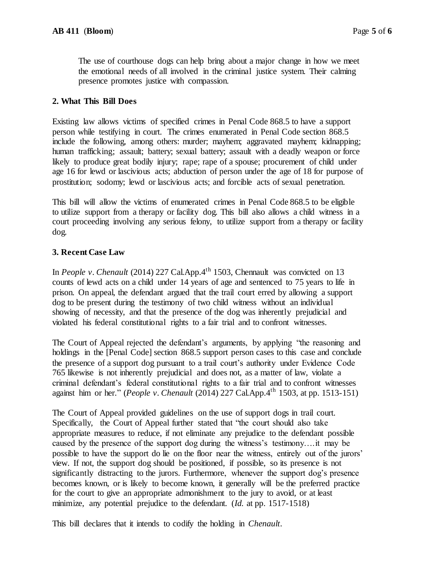The use of courthouse dogs can help bring about a major change in how we meet the emotional needs of all involved in the criminal justice system. Their calming presence promotes justice with compassion.

### **2. What This Bill Does**

Existing law allows victims of specified crimes in Penal Code 868.5 to have a support person while testifying in court. The crimes enumerated in Penal Code section 868.5 include the following, among others: murder; mayhem; aggravated mayhem; kidnapping; human trafficking; assault; battery; sexual battery; assault with a deadly weapon or force likely to produce great bodily injury; rape; rape of a spouse; procurement of child under age 16 for lewd or lascivious acts; abduction of person under the age of 18 for purpose of prostitution; sodomy; lewd or lascivious acts; and forcible acts of sexual penetration.

This bill will allow the victims of enumerated crimes in Penal Code 868.5 to be eligible to utilize support from a therapy or facility dog. This bill also allows a child witness in a court proceeding involving any serious felony, to utilize support from a therapy or facility dog.

## **3. Recent Case Law**

In *People v. Chenault* (2014) 227 Cal.App.4<sup>th</sup> 1503, Chennault was convicted on 13 counts of lewd acts on a child under 14 years of age and sentenced to 75 years to life in prison. On appeal, the defendant argued that the trail court erred by allowing a support dog to be present during the testimony of two child witness without an individual showing of necessity, and that the presence of the dog was inherently prejudicial and violated his federal constitutional rights to a fair trial and to confront witnesses.

The Court of Appeal rejected the defendant's arguments, by applying "the reasoning and holdings in the [Penal Code] section 868.5 support person cases to this case and conclude the presence of a support dog pursuant to a trail court's authority under Evidence Code 765 likewise is not inherently prejudicial and does not, as a matter of law, violate a criminal defendant's federal constitutional rights to a fair trial and to confront witnesses against him or her." (*People v. Chenault* (2014) 227 Cal.App.4th 1503, at pp. 1513-151)

The Court of Appeal provided guidelines on the use of support dogs in trail court. Specifically, the Court of Appeal further stated that "the court should also take appropriate measures to reduce, if not eliminate any prejudice to the defendant possible caused by the presence of the support dog during the witness's testimony….it may be possible to have the support do lie on the floor near the witness, entirely out of the jurors' view. If not, the support dog should be positioned, if possible, so its presence is not significantly distracting to the jurors. Furthermore, whenever the support dog's presence becomes known, or is likely to become known, it generally will be the preferred practice for the court to give an appropriate admonishment to the jury to avoid, or at least minimize, any potential prejudice to the defendant. (*Id.* at pp. 1517-1518)

This bill declares that it intends to codify the holding in *Chenault.*